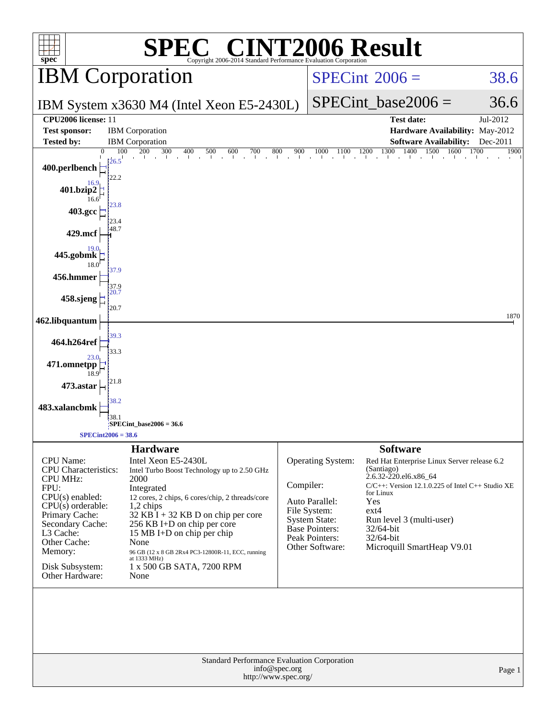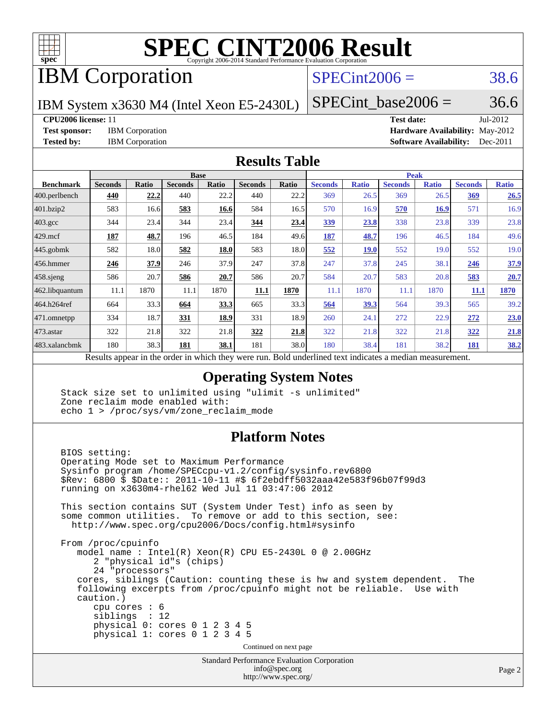

# **[SPEC CINT2006 Result](http://www.spec.org/auto/cpu2006/Docs/result-fields.html#SPECCINT2006Result)**

# IBM Corporation

## $SPECint2006 = 38.6$  $SPECint2006 = 38.6$

IBM System x3630 M4 (Intel Xeon E5-2430L)

 $SPECTnt\_base2006 = 36.6$ 

### **[CPU2006 license:](http://www.spec.org/auto/cpu2006/Docs/result-fields.html#CPU2006license)** 11 **[Test date:](http://www.spec.org/auto/cpu2006/Docs/result-fields.html#Testdate)** Jul-2012

**[Test sponsor:](http://www.spec.org/auto/cpu2006/Docs/result-fields.html#Testsponsor)** IBM Corporation **[Hardware Availability:](http://www.spec.org/auto/cpu2006/Docs/result-fields.html#HardwareAvailability)** May-2012 **[Tested by:](http://www.spec.org/auto/cpu2006/Docs/result-fields.html#Testedby)** IBM Corporation **[Software Availability:](http://www.spec.org/auto/cpu2006/Docs/result-fields.html#SoftwareAvailability)** Dec-2011

### **[Results Table](http://www.spec.org/auto/cpu2006/Docs/result-fields.html#ResultsTable)**

|                    | <b>Base</b>    |       |                |              |                |                           | <b>Peak</b>    |              |                |              |                |              |
|--------------------|----------------|-------|----------------|--------------|----------------|---------------------------|----------------|--------------|----------------|--------------|----------------|--------------|
| <b>Benchmark</b>   | <b>Seconds</b> | Ratio | <b>Seconds</b> | <b>Ratio</b> | <b>Seconds</b> | <b>Ratio</b>              | <b>Seconds</b> | <b>Ratio</b> | <b>Seconds</b> | <b>Ratio</b> | <b>Seconds</b> | <b>Ratio</b> |
| 400.perlbench      | 440            | 22.2  | 440            | 22.2         | 440            | 22.2                      | 369            | 26.5         | 369            | 26.5         | 369            | 26.5         |
| 401.bzip2          | 583            | 16.6  | 583            | 16.6         | 584            | 16.5                      | 570            | 16.9         | 570            | <b>16.9</b>  | 571            | 16.9         |
| $403.\mathrm{gcc}$ | 344            | 23.4  | 344            | 23.4         | 344            | 23.4                      | <u>339</u>     | 23.8         | 338            | 23.8         | 339            | 23.8         |
| $429$ mcf          | 187            | 48.7  | 196            | 46.5         | 184            | 49.6                      | 187            | 48.7         | 196            | 46.5         | 184            | 49.6         |
| $445$ .gobmk       | 582            | 18.0  | 582            | 18.0         | 583            | 18.0                      | 552            | <b>19.0</b>  | 552            | 19.0         | 552            | 19.0         |
| $456.$ hmmer       | 246            | 37.9  | 246            | 37.9         | 247            | 37.8                      | 247            | 37.8         | 245            | 38.1         | 246            | 37.9         |
| $458$ .sjeng       | 586            | 20.7  | 586            | 20.7         | 586            | 20.7                      | 584            | 20.7         | 583            | 20.8         | 583            | 20.7         |
| 462.libquantum     | 11.1           | 1870  | 11.1           | 1870         | 11.1           | 1870                      | 11.1           | 1870         | 11.1           | 1870         | 11.1           | 1870         |
| 464.h264ref        | 664            | 33.3  | 664            | 33.3         | 665            | 33.3                      | 564            | 39.3         | 564            | 39.3         | 565            | 39.2         |
| 471.omnetpp        | 334            | 18.7  | 331            | 18.9         | 331            | 18.9                      | 260            | 24.1         | 272            | 22.9         | 272            | 23.0         |
| 473.astar          | 322            | 21.8  | 322            | 21.8         | 322            | 21.8                      | 322            | 21.8         | 322            | 21.8         | 322            | 21.8         |
| 483.xalancbmk      | 180            | 38.3  | 181            | 38.1         | 181            | 38.0                      | 180            | 38.4         | 181            | 38.2         | <u>181</u>     | 38.2         |
| $\mathbf{r}$       | $\mathbf{1}$ . |       |                | 1.7.1        |                | $\mathbf{r}$ $\mathbf{r}$ | $\mathbf{1}$   | .            |                |              |                |              |

Results appear in the [order in which they were run.](http://www.spec.org/auto/cpu2006/Docs/result-fields.html#RunOrder) Bold underlined text [indicates a median measurement.](http://www.spec.org/auto/cpu2006/Docs/result-fields.html#Median)

### **[Operating System Notes](http://www.spec.org/auto/cpu2006/Docs/result-fields.html#OperatingSystemNotes)**

 Stack size set to unlimited using "ulimit -s unlimited" Zone reclaim mode enabled with: echo 1 > /proc/sys/vm/zone\_reclaim\_mode

### **[Platform Notes](http://www.spec.org/auto/cpu2006/Docs/result-fields.html#PlatformNotes)**

 BIOS setting: Operating Mode set to Maximum Performance Sysinfo program /home/SPECcpu-v1.2/config/sysinfo.rev6800 \$Rev: 6800 \$ \$Date:: 2011-10-11 #\$ 6f2ebdff5032aaa42e583f96b07f99d3 running on x3630m4-rhel62 Wed Jul 11 03:47:06 2012 This section contains SUT (System Under Test) info as seen by some common utilities. To remove or add to this section, see: <http://www.spec.org/cpu2006/Docs/config.html#sysinfo> From /proc/cpuinfo model name : Intel(R) Xeon(R) CPU E5-2430L 0 @ 2.00GHz 2 "physical id"s (chips) 24 "processors" cores, siblings (Caution: counting these is hw and system dependent. The following excerpts from /proc/cpuinfo might not be reliable. Use with caution.) cpu cores : 6 siblings : 12 physical 0: cores 0 1 2 3 4 5 physical 1: cores 0 1 2 3 4 5 Continued on next page

Standard Performance Evaluation Corporation [info@spec.org](mailto:info@spec.org) <http://www.spec.org/>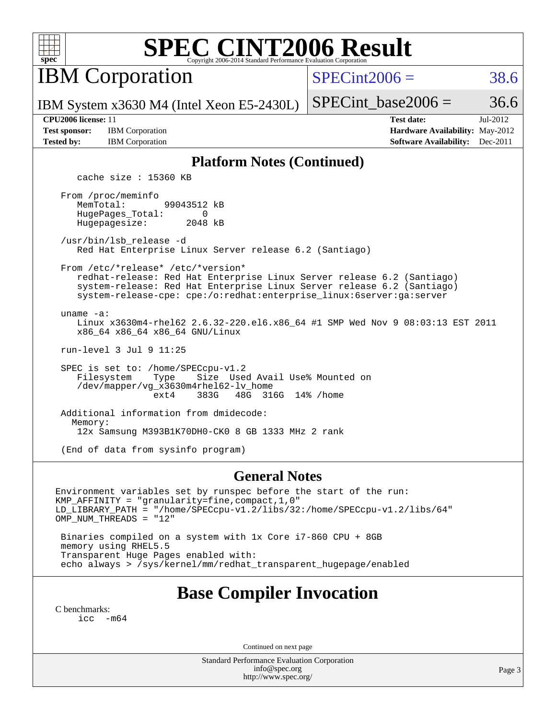

# **[SPEC CINT2006 Result](http://www.spec.org/auto/cpu2006/Docs/result-fields.html#SPECCINT2006Result)**

IBM Corporation

 $SPECint2006 = 38.6$  $SPECint2006 = 38.6$ 

IBM System x3630 M4 (Intel Xeon E5-2430L)

SPECint base2006 =  $36.6$ 

**[Test sponsor:](http://www.spec.org/auto/cpu2006/Docs/result-fields.html#Testsponsor)** IBM Corporation **[Hardware Availability:](http://www.spec.org/auto/cpu2006/Docs/result-fields.html#HardwareAvailability)** May-2012

**[CPU2006 license:](http://www.spec.org/auto/cpu2006/Docs/result-fields.html#CPU2006license)** 11 **[Test date:](http://www.spec.org/auto/cpu2006/Docs/result-fields.html#Testdate)** Jul-2012 **[Tested by:](http://www.spec.org/auto/cpu2006/Docs/result-fields.html#Testedby)** IBM Corporation **[Software Availability:](http://www.spec.org/auto/cpu2006/Docs/result-fields.html#SoftwareAvailability)** Dec-2011

### **[Platform Notes \(Continued\)](http://www.spec.org/auto/cpu2006/Docs/result-fields.html#PlatformNotes)**

cache size : 15360 KB

 From /proc/meminfo MemTotal: 99043512 kB HugePages\_Total: 0<br>Hugepagesize: 2048 kB Hugepagesize:

 /usr/bin/lsb\_release -d Red Hat Enterprise Linux Server release 6.2 (Santiago)

From /etc/\*release\* /etc/\*version\*

 redhat-release: Red Hat Enterprise Linux Server release 6.2 (Santiago) system-release: Red Hat Enterprise Linux Server release 6.2 (Santiago) system-release-cpe: cpe:/o:redhat:enterprise\_linux:6server:ga:server

uname -a:

 Linux x3630m4-rhel62 2.6.32-220.el6.x86\_64 #1 SMP Wed Nov 9 08:03:13 EST 2011 x86\_64 x86\_64 x86\_64 GNU/Linux

run-level 3 Jul 9 11:25

SPEC is set to: /home/SPECcpu-v1.2<br>Filesystem Type Size Use Size Used Avail Use% Mounted on /dev/mapper/vg\_x3630m4rhel62-lv\_home ext4 383G 48G 316G 14% /home

 Additional information from dmidecode: Memory: 12x Samsung M393B1K70DH0-CK0 8 GB 1333 MHz 2 rank

(End of data from sysinfo program)

### **[General Notes](http://www.spec.org/auto/cpu2006/Docs/result-fields.html#GeneralNotes)**

Environment variables set by runspec before the start of the run: KMP\_AFFINITY = "granularity=fine,compact,1,0" LD\_LIBRARY\_PATH = "/home/SPECcpu-v1.2/libs/32:/home/SPECcpu-v1.2/libs/64" OMP\_NUM\_THREADS = "12"

 Binaries compiled on a system with 1x Core i7-860 CPU + 8GB memory using RHEL5.5 Transparent Huge Pages enabled with: echo always > /sys/kernel/mm/redhat\_transparent\_hugepage/enabled

## **[Base Compiler Invocation](http://www.spec.org/auto/cpu2006/Docs/result-fields.html#BaseCompilerInvocation)**

[C benchmarks](http://www.spec.org/auto/cpu2006/Docs/result-fields.html#Cbenchmarks): [icc -m64](http://www.spec.org/cpu2006/results/res2012q3/cpu2006-20120725-23863.flags.html#user_CCbase_intel_icc_64bit_f346026e86af2a669e726fe758c88044)

Continued on next page

Standard Performance Evaluation Corporation [info@spec.org](mailto:info@spec.org) <http://www.spec.org/>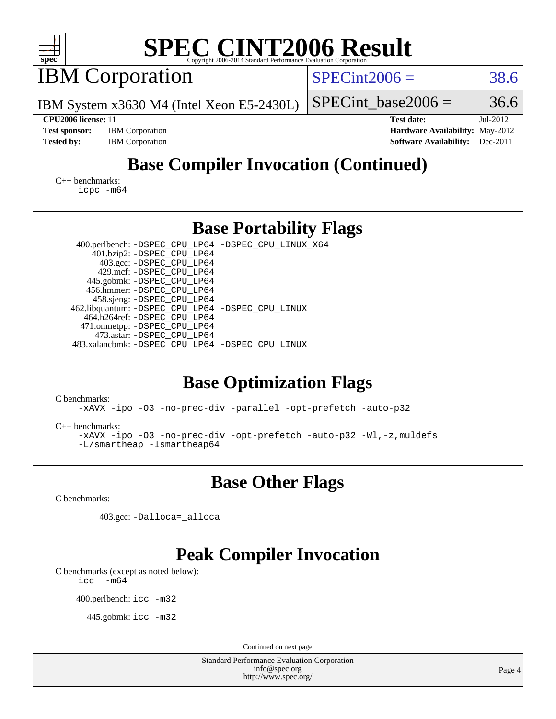| SPEC CINT2006 Evaluation Corporation                                                                  |  |  |  |  |  |  |  |  |  |
|-------------------------------------------------------------------------------------------------------|--|--|--|--|--|--|--|--|--|
| $SPECint2006 =$<br>38.6                                                                               |  |  |  |  |  |  |  |  |  |
| 36.6<br>$SPECint$ base2006 =                                                                          |  |  |  |  |  |  |  |  |  |
| <b>Test date:</b><br>Jul-2012                                                                         |  |  |  |  |  |  |  |  |  |
| Hardware Availability: May-2012                                                                       |  |  |  |  |  |  |  |  |  |
| <b>Software Availability:</b><br>Dec-2011                                                             |  |  |  |  |  |  |  |  |  |
| <b>Base Compiler Invocation (Continued)</b><br>$C_{++}$ benchmarks:<br>icpc -m64                      |  |  |  |  |  |  |  |  |  |
| <b>Base Portability Flags</b>                                                                         |  |  |  |  |  |  |  |  |  |
| 400.perlbench: -DSPEC_CPU_LP64 -DSPEC_CPU_LINUX_X64                                                   |  |  |  |  |  |  |  |  |  |
| 401.bzip2: -DSPEC_CPU_LP64<br>403.gcc: -DSPEC_CPU_LP64                                                |  |  |  |  |  |  |  |  |  |
|                                                                                                       |  |  |  |  |  |  |  |  |  |
|                                                                                                       |  |  |  |  |  |  |  |  |  |
|                                                                                                       |  |  |  |  |  |  |  |  |  |
| 462.libquantum: - DSPEC_CPU_LP64 - DSPEC_CPU_LINUX                                                    |  |  |  |  |  |  |  |  |  |
|                                                                                                       |  |  |  |  |  |  |  |  |  |
| 483.xalancbmk: -DSPEC_CPU_LP64 -DSPEC_CPU_LINUX                                                       |  |  |  |  |  |  |  |  |  |
|                                                                                                       |  |  |  |  |  |  |  |  |  |
| <b>Base Optimization Flags</b>                                                                        |  |  |  |  |  |  |  |  |  |
| -xAVX -ipo -03 -no-prec-div -parallel -opt-prefetch -auto-p32                                         |  |  |  |  |  |  |  |  |  |
| -xAVX -ipo -03 -no-prec-div -opt-prefetch -auto-p32 -Wl,-z, muldefs                                   |  |  |  |  |  |  |  |  |  |
| <b>Base Other Flags</b>                                                                               |  |  |  |  |  |  |  |  |  |
|                                                                                                       |  |  |  |  |  |  |  |  |  |
|                                                                                                       |  |  |  |  |  |  |  |  |  |
| <b>Peak Compiler Invocation</b>                                                                       |  |  |  |  |  |  |  |  |  |
|                                                                                                       |  |  |  |  |  |  |  |  |  |
|                                                                                                       |  |  |  |  |  |  |  |  |  |
|                                                                                                       |  |  |  |  |  |  |  |  |  |
| Continued on next page                                                                                |  |  |  |  |  |  |  |  |  |
| <b>Standard Performance Evaluation Corporation</b><br>info@spec.org<br>Page 4<br>http://www.spec.org/ |  |  |  |  |  |  |  |  |  |
|                                                                                                       |  |  |  |  |  |  |  |  |  |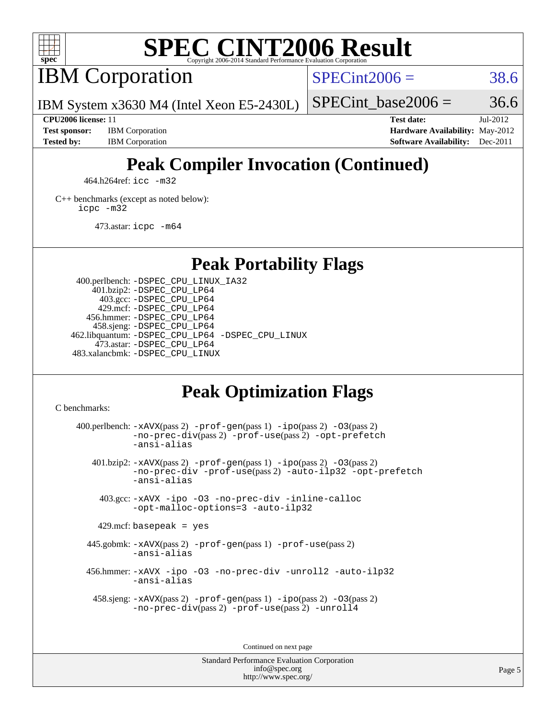

# **[SPEC CINT2006 Result](http://www.spec.org/auto/cpu2006/Docs/result-fields.html#SPECCINT2006Result)**

IBM Corporation

 $SPECint2006 = 38.6$  $SPECint2006 = 38.6$ 

IBM System x3630 M4 (Intel Xeon E5-2430L)

**[Tested by:](http://www.spec.org/auto/cpu2006/Docs/result-fields.html#Testedby)** IBM Corporation **[Software Availability:](http://www.spec.org/auto/cpu2006/Docs/result-fields.html#SoftwareAvailability)** Dec-2011

**[CPU2006 license:](http://www.spec.org/auto/cpu2006/Docs/result-fields.html#CPU2006license)** 11 **[Test date:](http://www.spec.org/auto/cpu2006/Docs/result-fields.html#Testdate)** Jul-2012 **[Test sponsor:](http://www.spec.org/auto/cpu2006/Docs/result-fields.html#Testsponsor)** IBM Corporation **[Hardware Availability:](http://www.spec.org/auto/cpu2006/Docs/result-fields.html#HardwareAvailability)** May-2012

SPECint base2006 =  $36.6$ 

# **[Peak Compiler Invocation \(Continued\)](http://www.spec.org/auto/cpu2006/Docs/result-fields.html#PeakCompilerInvocation)**

464.h264ref: [icc -m32](http://www.spec.org/cpu2006/results/res2012q3/cpu2006-20120725-23863.flags.html#user_peakCCLD464_h264ref_intel_icc_a6a621f8d50482236b970c6ac5f55f93)

[C++ benchmarks \(except as noted below\):](http://www.spec.org/auto/cpu2006/Docs/result-fields.html#CXXbenchmarksexceptasnotedbelow) [icpc -m32](http://www.spec.org/cpu2006/results/res2012q3/cpu2006-20120725-23863.flags.html#user_CXXpeak_intel_icpc_4e5a5ef1a53fd332b3c49e69c3330699)

473.astar: [icpc -m64](http://www.spec.org/cpu2006/results/res2012q3/cpu2006-20120725-23863.flags.html#user_peakCXXLD473_astar_intel_icpc_64bit_fc66a5337ce925472a5c54ad6a0de310)

**[Peak Portability Flags](http://www.spec.org/auto/cpu2006/Docs/result-fields.html#PeakPortabilityFlags)**

 400.perlbench: [-DSPEC\\_CPU\\_LINUX\\_IA32](http://www.spec.org/cpu2006/results/res2012q3/cpu2006-20120725-23863.flags.html#b400.perlbench_peakCPORTABILITY_DSPEC_CPU_LINUX_IA32) 401.bzip2: [-DSPEC\\_CPU\\_LP64](http://www.spec.org/cpu2006/results/res2012q3/cpu2006-20120725-23863.flags.html#suite_peakPORTABILITY401_bzip2_DSPEC_CPU_LP64) 403.gcc: [-DSPEC\\_CPU\\_LP64](http://www.spec.org/cpu2006/results/res2012q3/cpu2006-20120725-23863.flags.html#suite_peakPORTABILITY403_gcc_DSPEC_CPU_LP64) 429.mcf: [-DSPEC\\_CPU\\_LP64](http://www.spec.org/cpu2006/results/res2012q3/cpu2006-20120725-23863.flags.html#suite_peakPORTABILITY429_mcf_DSPEC_CPU_LP64) 456.hmmer: [-DSPEC\\_CPU\\_LP64](http://www.spec.org/cpu2006/results/res2012q3/cpu2006-20120725-23863.flags.html#suite_peakPORTABILITY456_hmmer_DSPEC_CPU_LP64) 458.sjeng: [-DSPEC\\_CPU\\_LP64](http://www.spec.org/cpu2006/results/res2012q3/cpu2006-20120725-23863.flags.html#suite_peakPORTABILITY458_sjeng_DSPEC_CPU_LP64) 462.libquantum: [-DSPEC\\_CPU\\_LP64](http://www.spec.org/cpu2006/results/res2012q3/cpu2006-20120725-23863.flags.html#suite_peakPORTABILITY462_libquantum_DSPEC_CPU_LP64) [-DSPEC\\_CPU\\_LINUX](http://www.spec.org/cpu2006/results/res2012q3/cpu2006-20120725-23863.flags.html#b462.libquantum_peakCPORTABILITY_DSPEC_CPU_LINUX) 473.astar: [-DSPEC\\_CPU\\_LP64](http://www.spec.org/cpu2006/results/res2012q3/cpu2006-20120725-23863.flags.html#suite_peakPORTABILITY473_astar_DSPEC_CPU_LP64) 483.xalancbmk: [-DSPEC\\_CPU\\_LINUX](http://www.spec.org/cpu2006/results/res2012q3/cpu2006-20120725-23863.flags.html#b483.xalancbmk_peakCXXPORTABILITY_DSPEC_CPU_LINUX)

## **[Peak Optimization Flags](http://www.spec.org/auto/cpu2006/Docs/result-fields.html#PeakOptimizationFlags)**

[C benchmarks](http://www.spec.org/auto/cpu2006/Docs/result-fields.html#Cbenchmarks):

400.perlbench:  $-xAUX(pass 2)$  -prof-qen(pass 1) [-ipo](http://www.spec.org/cpu2006/results/res2012q3/cpu2006-20120725-23863.flags.html#user_peakPASS2_CFLAGSPASS2_LDCFLAGS400_perlbench_f-ipo)(pass 2) -03(pass 2) [-no-prec-div](http://www.spec.org/cpu2006/results/res2012q3/cpu2006-20120725-23863.flags.html#user_peakPASS2_CFLAGSPASS2_LDCFLAGS400_perlbench_f-no-prec-div)(pass 2) [-prof-use](http://www.spec.org/cpu2006/results/res2012q3/cpu2006-20120725-23863.flags.html#user_peakPASS2_CFLAGSPASS2_LDCFLAGS400_perlbench_prof_use_bccf7792157ff70d64e32fe3e1250b55)(pass 2) [-opt-prefetch](http://www.spec.org/cpu2006/results/res2012q3/cpu2006-20120725-23863.flags.html#user_peakCOPTIMIZE400_perlbench_f-opt-prefetch) [-ansi-alias](http://www.spec.org/cpu2006/results/res2012q3/cpu2006-20120725-23863.flags.html#user_peakCOPTIMIZE400_perlbench_f-ansi-alias) 401.bzip2: [-xAVX](http://www.spec.org/cpu2006/results/res2012q3/cpu2006-20120725-23863.flags.html#user_peakPASS2_CFLAGSPASS2_LDCFLAGS401_bzip2_f-xAVX)(pass 2) [-prof-gen](http://www.spec.org/cpu2006/results/res2012q3/cpu2006-20120725-23863.flags.html#user_peakPASS1_CFLAGSPASS1_LDCFLAGS401_bzip2_prof_gen_e43856698f6ca7b7e442dfd80e94a8fc)(pass 1) [-ipo](http://www.spec.org/cpu2006/results/res2012q3/cpu2006-20120725-23863.flags.html#user_peakPASS2_CFLAGSPASS2_LDCFLAGS401_bzip2_f-ipo)(pass 2) [-O3](http://www.spec.org/cpu2006/results/res2012q3/cpu2006-20120725-23863.flags.html#user_peakPASS2_CFLAGSPASS2_LDCFLAGS401_bzip2_f-O3)(pass 2) [-no-prec-div](http://www.spec.org/cpu2006/results/res2012q3/cpu2006-20120725-23863.flags.html#user_peakCOPTIMIZEPASS2_CFLAGSPASS2_LDCFLAGS401_bzip2_f-no-prec-div) [-prof-use](http://www.spec.org/cpu2006/results/res2012q3/cpu2006-20120725-23863.flags.html#user_peakPASS2_CFLAGSPASS2_LDCFLAGS401_bzip2_prof_use_bccf7792157ff70d64e32fe3e1250b55)(pass 2) [-auto-ilp32](http://www.spec.org/cpu2006/results/res2012q3/cpu2006-20120725-23863.flags.html#user_peakCOPTIMIZE401_bzip2_f-auto-ilp32) [-opt-prefetch](http://www.spec.org/cpu2006/results/res2012q3/cpu2006-20120725-23863.flags.html#user_peakCOPTIMIZE401_bzip2_f-opt-prefetch) [-ansi-alias](http://www.spec.org/cpu2006/results/res2012q3/cpu2006-20120725-23863.flags.html#user_peakCOPTIMIZE401_bzip2_f-ansi-alias) 403.gcc: [-xAVX](http://www.spec.org/cpu2006/results/res2012q3/cpu2006-20120725-23863.flags.html#user_peakCOPTIMIZE403_gcc_f-xAVX) [-ipo](http://www.spec.org/cpu2006/results/res2012q3/cpu2006-20120725-23863.flags.html#user_peakCOPTIMIZE403_gcc_f-ipo) [-O3](http://www.spec.org/cpu2006/results/res2012q3/cpu2006-20120725-23863.flags.html#user_peakCOPTIMIZE403_gcc_f-O3) [-no-prec-div](http://www.spec.org/cpu2006/results/res2012q3/cpu2006-20120725-23863.flags.html#user_peakCOPTIMIZE403_gcc_f-no-prec-div) [-inline-calloc](http://www.spec.org/cpu2006/results/res2012q3/cpu2006-20120725-23863.flags.html#user_peakCOPTIMIZE403_gcc_f-inline-calloc) [-opt-malloc-options=3](http://www.spec.org/cpu2006/results/res2012q3/cpu2006-20120725-23863.flags.html#user_peakCOPTIMIZE403_gcc_f-opt-malloc-options_13ab9b803cf986b4ee62f0a5998c2238) [-auto-ilp32](http://www.spec.org/cpu2006/results/res2012q3/cpu2006-20120725-23863.flags.html#user_peakCOPTIMIZE403_gcc_f-auto-ilp32)  $429$ .mcf: basepeak = yes 445.gobmk: [-xAVX](http://www.spec.org/cpu2006/results/res2012q3/cpu2006-20120725-23863.flags.html#user_peakPASS2_CFLAGSPASS2_LDCFLAGS445_gobmk_f-xAVX)(pass 2) [-prof-gen](http://www.spec.org/cpu2006/results/res2012q3/cpu2006-20120725-23863.flags.html#user_peakPASS1_CFLAGSPASS1_LDCFLAGS445_gobmk_prof_gen_e43856698f6ca7b7e442dfd80e94a8fc)(pass 1) [-prof-use](http://www.spec.org/cpu2006/results/res2012q3/cpu2006-20120725-23863.flags.html#user_peakPASS2_CFLAGSPASS2_LDCFLAGS445_gobmk_prof_use_bccf7792157ff70d64e32fe3e1250b55)(pass 2) [-ansi-alias](http://www.spec.org/cpu2006/results/res2012q3/cpu2006-20120725-23863.flags.html#user_peakCOPTIMIZE445_gobmk_f-ansi-alias) 456.hmmer: [-xAVX](http://www.spec.org/cpu2006/results/res2012q3/cpu2006-20120725-23863.flags.html#user_peakCOPTIMIZE456_hmmer_f-xAVX) [-ipo](http://www.spec.org/cpu2006/results/res2012q3/cpu2006-20120725-23863.flags.html#user_peakCOPTIMIZE456_hmmer_f-ipo) [-O3](http://www.spec.org/cpu2006/results/res2012q3/cpu2006-20120725-23863.flags.html#user_peakCOPTIMIZE456_hmmer_f-O3) [-no-prec-div](http://www.spec.org/cpu2006/results/res2012q3/cpu2006-20120725-23863.flags.html#user_peakCOPTIMIZE456_hmmer_f-no-prec-div) [-unroll2](http://www.spec.org/cpu2006/results/res2012q3/cpu2006-20120725-23863.flags.html#user_peakCOPTIMIZE456_hmmer_f-unroll_784dae83bebfb236979b41d2422d7ec2) [-auto-ilp32](http://www.spec.org/cpu2006/results/res2012q3/cpu2006-20120725-23863.flags.html#user_peakCOPTIMIZE456_hmmer_f-auto-ilp32) [-ansi-alias](http://www.spec.org/cpu2006/results/res2012q3/cpu2006-20120725-23863.flags.html#user_peakCOPTIMIZE456_hmmer_f-ansi-alias) 458.sjeng: [-xAVX](http://www.spec.org/cpu2006/results/res2012q3/cpu2006-20120725-23863.flags.html#user_peakPASS2_CFLAGSPASS2_LDCFLAGS458_sjeng_f-xAVX)(pass 2) [-prof-gen](http://www.spec.org/cpu2006/results/res2012q3/cpu2006-20120725-23863.flags.html#user_peakPASS1_CFLAGSPASS1_LDCFLAGS458_sjeng_prof_gen_e43856698f6ca7b7e442dfd80e94a8fc)(pass 1) [-ipo](http://www.spec.org/cpu2006/results/res2012q3/cpu2006-20120725-23863.flags.html#user_peakPASS2_CFLAGSPASS2_LDCFLAGS458_sjeng_f-ipo)(pass 2) [-O3](http://www.spec.org/cpu2006/results/res2012q3/cpu2006-20120725-23863.flags.html#user_peakPASS2_CFLAGSPASS2_LDCFLAGS458_sjeng_f-O3)(pass 2) [-no-prec-div](http://www.spec.org/cpu2006/results/res2012q3/cpu2006-20120725-23863.flags.html#user_peakPASS2_CFLAGSPASS2_LDCFLAGS458_sjeng_f-no-prec-div)(pass 2) [-prof-use](http://www.spec.org/cpu2006/results/res2012q3/cpu2006-20120725-23863.flags.html#user_peakPASS2_CFLAGSPASS2_LDCFLAGS458_sjeng_prof_use_bccf7792157ff70d64e32fe3e1250b55)(pass 2) [-unroll4](http://www.spec.org/cpu2006/results/res2012q3/cpu2006-20120725-23863.flags.html#user_peakCOPTIMIZE458_sjeng_f-unroll_4e5e4ed65b7fd20bdcd365bec371b81f)

Continued on next page

Standard Performance Evaluation Corporation [info@spec.org](mailto:info@spec.org) <http://www.spec.org/>